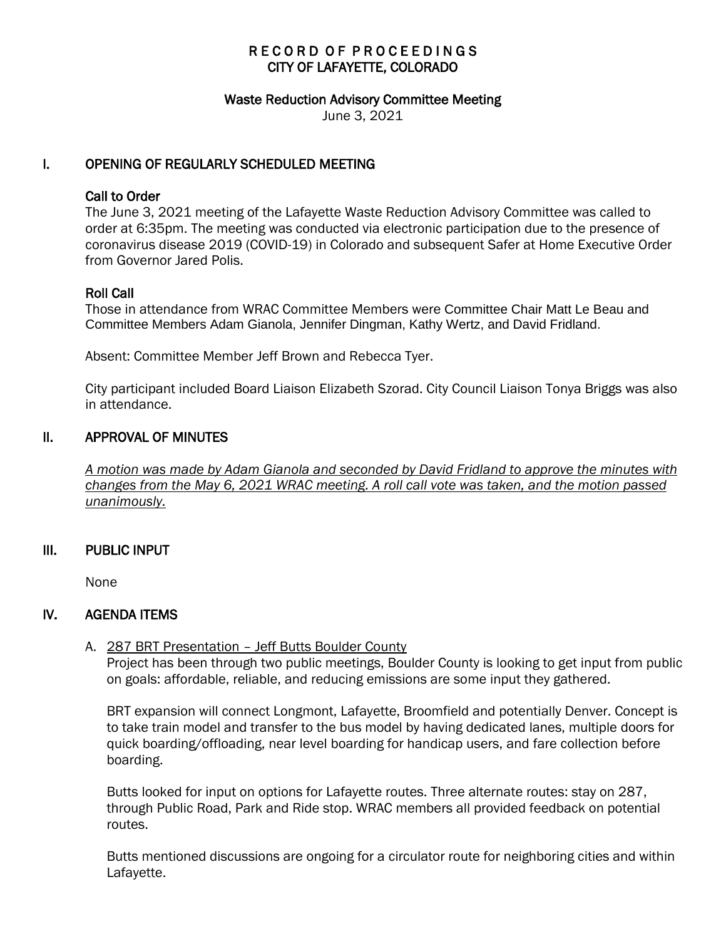## RECORD OF PROCEEDINGS CITY OF LAFAYETTE, COLORADO

#### Waste Reduction Advisory Committee Meeting

June 3, 2021

## I. OPENING OF REGULARLY SCHEDULED MEETING

### Call to Order

The June 3, 2021 meeting of the Lafayette Waste Reduction Advisory Committee was called to order at 6:35pm. The meeting was conducted via electronic participation due to the presence of coronavirus disease 2019 (COVID-19) in Colorado and subsequent Safer at Home Executive Order from Governor Jared Polis.

### Roll Call

Those in attendance from WRAC Committee Members were Committee Chair Matt Le Beau and Committee Members Adam Gianola, Jennifer Dingman, Kathy Wertz, and David Fridland.

Absent: Committee Member Jeff Brown and Rebecca Tyer.

City participant included Board Liaison Elizabeth Szorad. City Council Liaison Tonya Briggs was also in attendance.

### II. APPROVAL OF MINUTES

 *A motion was made by Adam Gianola and seconded by David Fridland to approve the minutes with changes from the May 6, 2021 WRAC meeting. A roll call vote was taken, and the motion passed unanimously.* 

### III. PUBLIC INPUT

None

## IV. AGENDA ITEMS

### A. 287 BRT Presentation – Jeff Butts Boulder County

Project has been through two public meetings, Boulder County is looking to get input from public on goals: affordable, reliable, and reducing emissions are some input they gathered.

BRT expansion will connect Longmont, Lafayette, Broomfield and potentially Denver. Concept is to take train model and transfer to the bus model by having dedicated lanes, multiple doors for quick boarding/offloading, near level boarding for handicap users, and fare collection before boarding.

Butts looked for input on options for Lafayette routes. Three alternate routes: stay on 287, through Public Road, Park and Ride stop. WRAC members all provided feedback on potential routes.

Butts mentioned discussions are ongoing for a circulator route for neighboring cities and within Lafayette.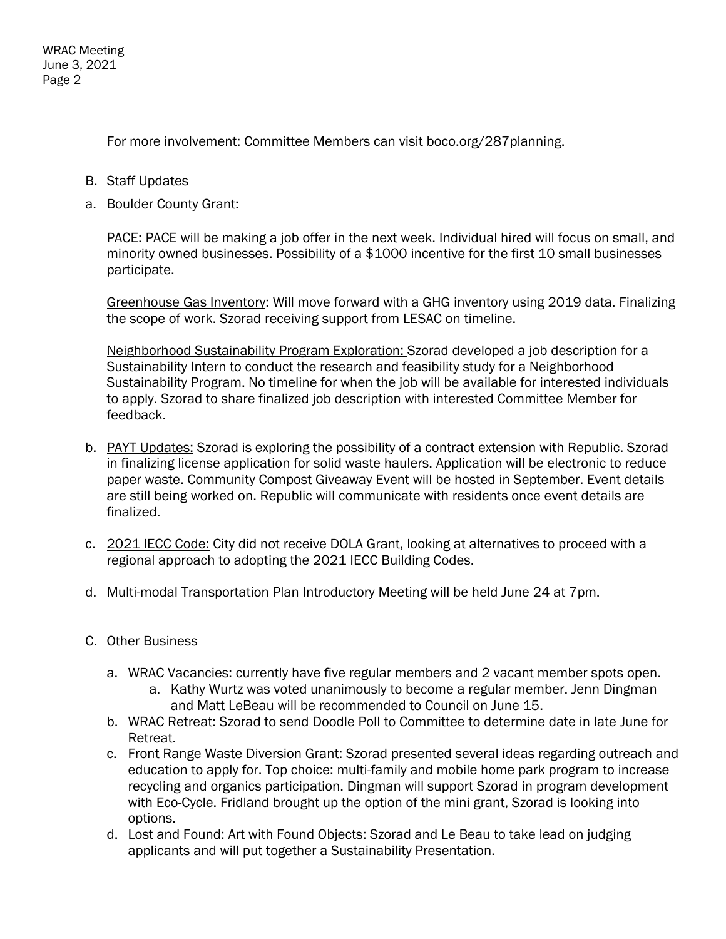WRAC Meeting June 3, 2021 Page 2

For more involvement: Committee Members can visit boco.org/287planning.

- B. Staff Updates
- a. Boulder County Grant:

PACE: PACE will be making a job offer in the next week. Individual hired will focus on small, and minority owned businesses. Possibility of a \$1000 incentive for the first 10 small businesses participate.

Greenhouse Gas Inventory: Will move forward with a GHG inventory using 2019 data. Finalizing the scope of work. Szorad receiving support from LESAC on timeline.

Neighborhood Sustainability Program Exploration: Szorad developed a job description for a Sustainability Intern to conduct the research and feasibility study for a Neighborhood Sustainability Program. No timeline for when the job will be available for interested individuals to apply. Szorad to share finalized job description with interested Committee Member for feedback.

- b. PAYT Updates: Szorad is exploring the possibility of a contract extension with Republic. Szorad in finalizing license application for solid waste haulers. Application will be electronic to reduce paper waste. Community Compost Giveaway Event will be hosted in September. Event details are still being worked on. Republic will communicate with residents once event details are finalized.
- c. 2021 IECC Code: City did not receive DOLA Grant, looking at alternatives to proceed with a regional approach to adopting the 2021 IECC Building Codes.
- d. Multi-modal Transportation Plan Introductory Meeting will be held June 24 at 7pm.
- C. Other Business
	- a. WRAC Vacancies: currently have five regular members and 2 vacant member spots open.
		- a. Kathy Wurtz was voted unanimously to become a regular member. Jenn Dingman and Matt LeBeau will be recommended to Council on June 15.
	- b. WRAC Retreat: Szorad to send Doodle Poll to Committee to determine date in late June for Retreat.
	- c. Front Range Waste Diversion Grant: Szorad presented several ideas regarding outreach and education to apply for. Top choice: multi-family and mobile home park program to increase recycling and organics participation. Dingman will support Szorad in program development with Eco-Cycle. Fridland brought up the option of the mini grant, Szorad is looking into options.
	- d. Lost and Found: Art with Found Objects: Szorad and Le Beau to take lead on judging applicants and will put together a Sustainability Presentation.